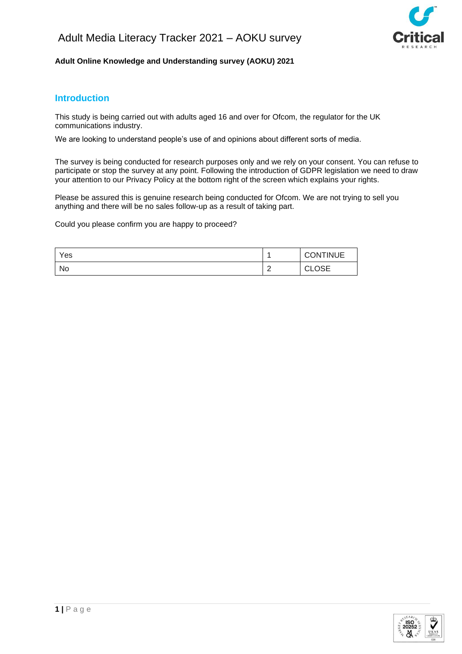

### **Adult Online Knowledge and Understanding survey (AOKU) 2021**

# **Introduction**

This study is being carried out with adults aged 16 and over for Ofcom, the regulator for the UK communications industry.

We are looking to understand people's use of and opinions about different sorts of media.

The survey is being conducted for research purposes only and we rely on your consent. You can refuse to participate or stop the survey at any point. Following the introduction of GDPR legislation we need to draw your attention to our Privacy Policy at the bottom right of the screen which explains your rights.

Please be assured this is genuine research being conducted for Ofcom. We are not trying to sell you anything and there will be no sales follow-up as a result of taking part.

Could you please confirm you are happy to proceed?

| Yes |                    | <b>CONTINUE</b>               |
|-----|--------------------|-------------------------------|
| No  | c<br><u>_</u><br>- | <b>000</b><br>$\sim$<br>◡∟◡◡∟ |

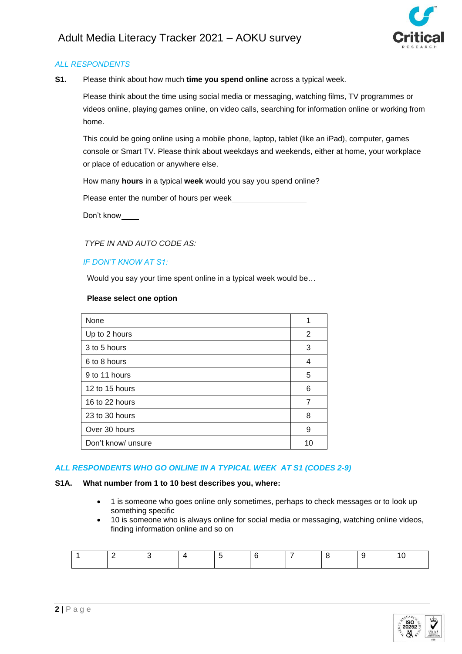

**S1.** Please think about how much **time you spend online** across a typical week.

Please think about the time using social media or messaging, watching films, TV programmes or videos online, playing games online, on video calls, searching for information online or working from home.

This could be going online using a mobile phone, laptop, tablet (like an iPad), computer, games console or Smart TV. Please think about weekdays and weekends, either at home, your workplace or place of education or anywhere else.

How many **hours** in a typical **week** would you say you spend online?

Please enter the number of hours per week

Don't know

 *TYPE IN AND AUTO CODE AS:*

### *IF DON'T KNOW AT S1:*

Would you say your time spent online in a typical week would be…

#### **Please select one option**

| None               | 1  |
|--------------------|----|
| Up to 2 hours      | 2  |
| 3 to 5 hours       | 3  |
| 6 to 8 hours       | 4  |
| 9 to 11 hours      | 5  |
| 12 to 15 hours     | 6  |
| 16 to 22 hours     | 7  |
| 23 to 30 hours     | 8  |
| Over 30 hours      | 9  |
| Don't know/ unsure | 10 |

### *ALL RESPONDENTS WHO GO ONLINE IN A TYPICAL WEEK AT S1 (CODES 2-9)*

#### **S1A. What number from 1 to 10 best describes you, where:**

- 1 is someone who goes online only sometimes, perhaps to check messages or to look up something specific
- 10 is someone who is always online for social media or messaging, watching online videos, finding information online and so on

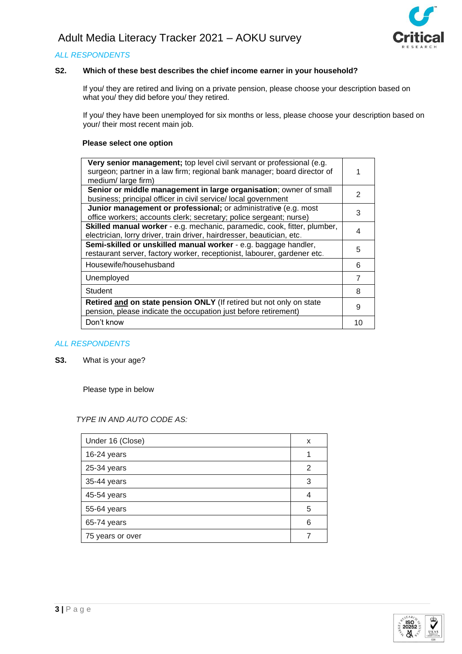

### **S2. Which of these best describes the chief income earner in your household?**

If you/ they are retired and living on a private pension, please choose your description based on what you/ they did before you/ they retired.

If you/ they have been unemployed for six months or less, please choose your description based on your/ their most recent main job.

### **Please select one option**

| Very senior management; top level civil servant or professional (e.g.<br>surgeon; partner in a law firm; regional bank manager; board director of |    |
|---------------------------------------------------------------------------------------------------------------------------------------------------|----|
| medium/large firm)                                                                                                                                |    |
| Senior or middle management in large organisation; owner of small                                                                                 | 2  |
| business; principal officer in civil service/ local government                                                                                    |    |
| Junior management or professional; or administrative (e.g. most                                                                                   |    |
| office workers; accounts clerk; secretary; police sergeant; nurse)                                                                                | 3  |
| Skilled manual worker - e.g. mechanic, paramedic, cook, fitter, plumber,                                                                          |    |
| electrician, lorry driver, train driver, hairdresser, beautician, etc.                                                                            | 4  |
| Semi-skilled or unskilled manual worker - e.g. baggage handler,                                                                                   |    |
| restaurant server, factory worker, receptionist, labourer, gardener etc.                                                                          | 5  |
| Housewife/househusband                                                                                                                            | 6  |
| Unemployed                                                                                                                                        | 7  |
| Student                                                                                                                                           | 8  |
| Retired and on state pension ONLY (If retired but not only on state                                                                               |    |
| pension, please indicate the occupation just before retirement)                                                                                   | 9  |
| Don't know                                                                                                                                        | 10 |
|                                                                                                                                                   |    |

#### *ALL RESPONDENTS*

**S3.** What is your age?

Please type in below

#### *TYPE IN AND AUTO CODE AS:*

| Under 16 (Close) | x |
|------------------|---|
| 16-24 years      |   |
| 25-34 years      | 2 |
| 35-44 years      | 3 |
| 45-54 years      |   |
| 55-64 years      | 5 |
| 65-74 years      | 6 |
| 75 years or over |   |

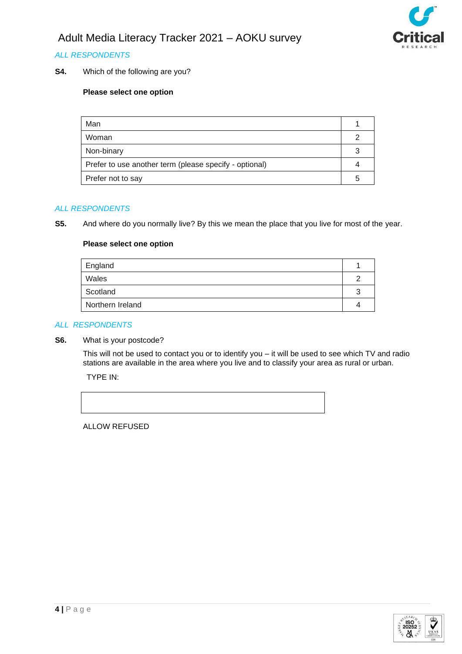

## *ALL RESPONDENTS*

**S4.** Which of the following are you?

### **Please select one option**

| Man                                                    |  |
|--------------------------------------------------------|--|
| Woman                                                  |  |
| Non-binary                                             |  |
| Prefer to use another term (please specify - optional) |  |
| Prefer not to say                                      |  |

#### *ALL RESPONDENTS*

**S5.** And where do you normally live? By this we mean the place that you live for most of the year.

#### **Please select one option**

| England          |  |
|------------------|--|
| Wales            |  |
| Scotland         |  |
| Northern Ireland |  |
|                  |  |

#### *ALL RESPONDENTS*

**S6.** What is your postcode?

This will not be used to contact you or to identify you – it will be used to see which TV and radio stations are available in the area where you live and to classify your area as rural or urban.

TYPE IN:

ALLOW REFUSED

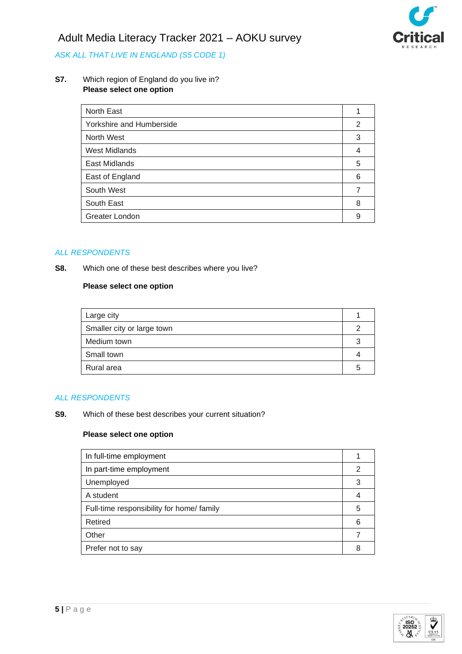



# *ASK ALL THAT LIVE IN ENGLAND (S5 CODE 1)*

#### **S7.** Which region of England do you live in? **Please select one option**

| North East               |   |
|--------------------------|---|
| Yorkshire and Humberside | 2 |
| North West               | 3 |
| <b>West Midlands</b>     | 4 |
| East Midlands            | 5 |
| East of England          | 6 |
| South West               |   |
| South East               | 8 |
| Greater London           | 9 |

#### *ALL RESPONDENTS*

**S8.** Which one of these best describes where you live?

#### **Please select one option**

| Large city                 |  |
|----------------------------|--|
| Smaller city or large town |  |
| Medium town                |  |
| Small town                 |  |
| Rural area                 |  |

### *ALL RESPONDENTS*

**S9.** Which of these best describes your current situation?

| In full-time employment                   |   |
|-------------------------------------------|---|
| In part-time employment                   | 2 |
| Unemployed                                | 3 |
| A student                                 |   |
| Full-time responsibility for home/ family | 5 |
| Retired                                   | 6 |
| Other                                     |   |
| Prefer not to say                         | 8 |

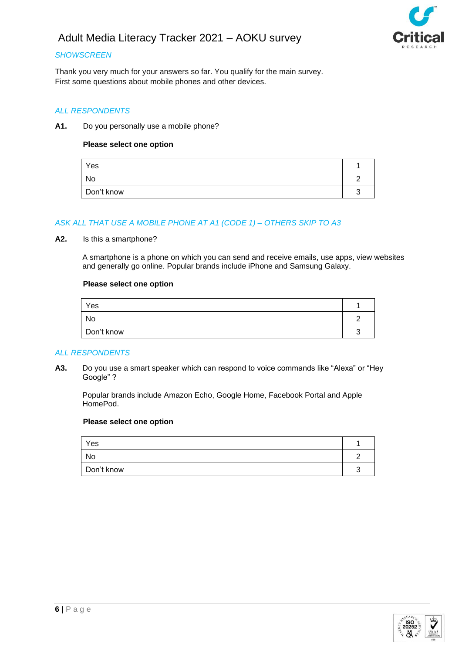



### *SHOWSCREEN*

Thank you very much for your answers so far. You qualify for the main survey. First some questions about mobile phones and other devices.

#### *ALL RESPONDENTS*

#### **A1.** Do you personally use a mobile phone?

#### **Please select one option**

| Yes        |  |
|------------|--|
| No         |  |
| Don't know |  |

### *ASK ALL THAT USE A MOBILE PHONE AT A1 (CODE 1) – OTHERS SKIP TO A3*

#### **A2.** Is this a smartphone?

A smartphone is a phone on which you can send and receive emails, use apps, view websites and generally go online. Popular brands include iPhone and Samsung Galaxy.

#### **Please select one option**

| Yes        |  |
|------------|--|
| No         |  |
| Don't know |  |

#### *ALL RESPONDENTS*

**A3.** Do you use a smart speaker which can respond to voice commands like "Alexa" or "Hey Google" ?

Popular brands include Amazon Echo, Google Home, Facebook Portal and Apple HomePod.

| Yes        |  |
|------------|--|
| No         |  |
| Don't know |  |

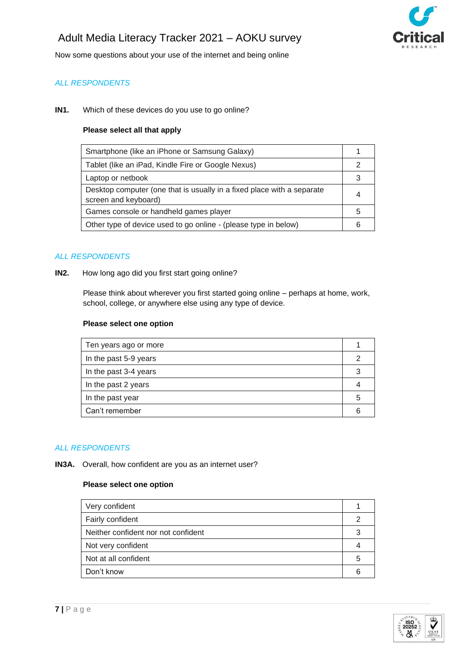

Now some questions about your use of the internet and being online

## *ALL RESPONDENTS*

#### **IN1.** Which of these devices do you use to go online?

#### **Please select all that apply**

| Smartphone (like an iPhone or Samsung Galaxy)                                                  |   |
|------------------------------------------------------------------------------------------------|---|
| Tablet (like an iPad, Kindle Fire or Google Nexus)                                             |   |
| Laptop or netbook                                                                              |   |
| Desktop computer (one that is usually in a fixed place with a separate<br>screen and keyboard) | 4 |
| Games console or handheld games player                                                         | 5 |
| Other type of device used to go online - (please type in below)                                |   |
|                                                                                                |   |

### *ALL RESPONDENTS*

#### **IN2.** How long ago did you first start going online?

Please think about wherever you first started going online – perhaps at home, work, school, college, or anywhere else using any type of device.

#### **Please select one option**

| Ten years ago or more |   |
|-----------------------|---|
| In the past 5-9 years |   |
| In the past 3-4 years | 3 |
| In the past 2 years   |   |
| In the past year      | 5 |
| Can't remember        |   |
|                       |   |

#### *ALL RESPONDENTS*

**IN3A.** Overall, how confident are you as an internet user?

| Very confident                      |   |
|-------------------------------------|---|
| Fairly confident                    |   |
| Neither confident nor not confident |   |
| Not very confident                  |   |
| Not at all confident                | 5 |
| Don't know                          |   |

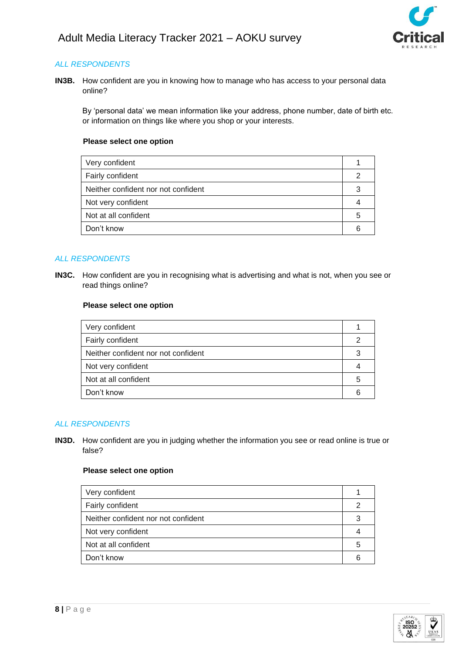

**IN3B.** How confident are you in knowing how to manage who has access to your personal data online?

By 'personal data' we mean information like your address, phone number, date of birth etc. or information on things like where you shop or your interests.

### **Please select one option**

| Very confident                      |   |
|-------------------------------------|---|
| Fairly confident                    | n |
| Neither confident nor not confident | 3 |
| Not very confident                  |   |
| Not at all confident                | 5 |
| Don't know                          |   |

### *ALL RESPONDENTS*

**IN3C.** How confident are you in recognising what is advertising and what is not, when you see or read things online?

### **Please select one option**

| Very confident                      |   |
|-------------------------------------|---|
| Fairly confident                    |   |
| Neither confident nor not confident | 3 |
| Not very confident                  |   |
| Not at all confident                | 5 |
| Don't know                          |   |

### *ALL RESPONDENTS*

**IN3D.** How confident are you in judging whether the information you see or read online is true or false?

| Very confident                      |   |
|-------------------------------------|---|
| Fairly confident                    |   |
| Neither confident nor not confident |   |
| Not very confident                  |   |
| Not at all confident                | 5 |
| Don't know                          |   |
|                                     |   |

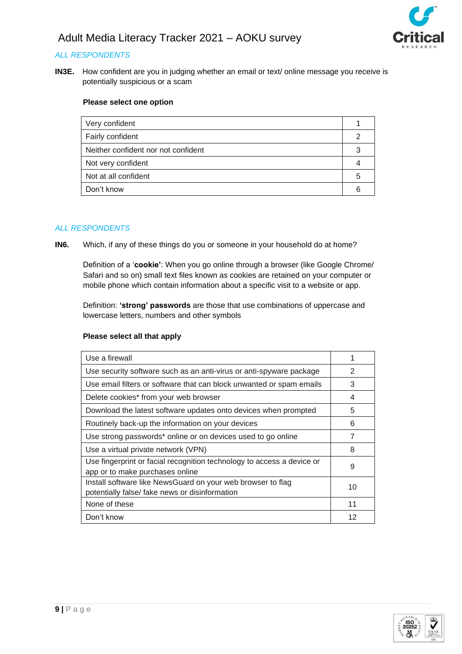

**IN3E.** How confident are you in judging whether an email or text/ online message you receive is potentially suspicious or a scam

### **Please select one option**

| Very confident                      |   |
|-------------------------------------|---|
| Fairly confident                    |   |
| Neither confident nor not confident |   |
| Not very confident                  |   |
| Not at all confident                | 5 |
| Don't know                          |   |

### *ALL RESPONDENTS*

**IN6.** Which, if any of these things do you or someone in your household do at home?

Definition of a '**cookie'**: When you go online through a browser (like Google Chrome/ Safari and so on) small text files known as cookies are retained on your computer or mobile phone which contain information about a specific visit to a website or app.

Definition: **'strong' passwords** are those that use combinations of uppercase and lowercase letters, numbers and other symbols

#### **Please select all that apply**

| Use a firewall                                                                                                |    |
|---------------------------------------------------------------------------------------------------------------|----|
| Use security software such as an anti-virus or anti-spyware package                                           | 2  |
| Use email filters or software that can block unwanted or spam emails                                          | 3  |
| Delete cookies* from your web browser                                                                         | 4  |
| Download the latest software updates onto devices when prompted                                               | 5  |
| Routinely back-up the information on your devices                                                             | 6  |
| Use strong passwords* online or on devices used to go online                                                  | 7  |
| Use a virtual private network (VPN)                                                                           | 8  |
| Use fingerprint or facial recognition technology to access a device or<br>app or to make purchases online     | 9  |
| Install software like NewsGuard on your web browser to flag<br>potentially false/ fake news or disinformation | 10 |
| None of these                                                                                                 | 11 |
| Don't know                                                                                                    | 12 |

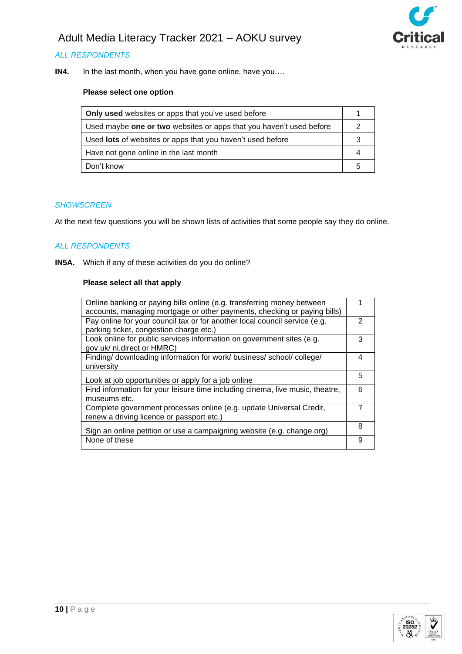



**IN4.** In the last month, when you have gone online, have you….

### **Please select one option**

| <b>Only used</b> websites or apps that you've used before           |  |
|---------------------------------------------------------------------|--|
| Used maybe one or two websites or apps that you haven't used before |  |
| Used <b>lots</b> of websites or apps that you haven't used before   |  |
| Have not gone online in the last month                              |  |
| Don't know                                                          |  |

#### *SHOWSCREEN*

At the next few questions you will be shown lists of activities that some people say they do online.

### *ALL RESPONDENTS*

**IN5A.** Which if any of these activities do you do online?

#### **Please select all that apply**

| Online banking or paying bills online (e.g. transferring money between        |   |
|-------------------------------------------------------------------------------|---|
| accounts, managing mortgage or other payments, checking or paying bills)      |   |
| Pay online for your council tax or for another local council service (e.g.    | 2 |
| parking ticket, congestion charge etc.)                                       |   |
| Look online for public services information on government sites (e.g.         | 3 |
| gov.uk/ ni.direct or HMRC)                                                    |   |
| Finding/ downloading information for work/ business/ school/ college/         | 4 |
| university                                                                    |   |
|                                                                               | 5 |
| Look at job opportunities or apply for a job online                           |   |
| Find information for your leisure time including cinema, live music, theatre, | 6 |
| museums etc.                                                                  |   |
| Complete government processes online (e.g. update Universal Credit,           |   |
| renew a driving licence or passport etc.)                                     |   |
|                                                                               | 8 |
| Sign an online petition or use a campaigning website (e.g. change.org)        |   |
| None of these                                                                 | 9 |
|                                                                               |   |

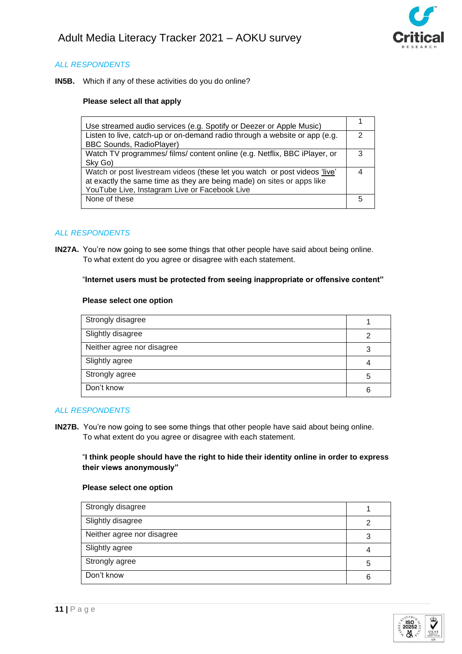

**IN5B.** Which if any of these activities do you do online?

#### **Please select all that apply**

| Use streamed audio services (e.g. Spotify or Deezer or Apple Music)        |   |
|----------------------------------------------------------------------------|---|
| Listen to live, catch-up or on-demand radio through a website or app (e.g. | っ |
| <b>BBC Sounds, RadioPlayer)</b>                                            |   |
| Watch TV programmes/ films/ content online (e.g. Netflix, BBC iPlayer, or  | З |
| Sky Go)                                                                    |   |
| Watch or post livestream videos (these let you watch or post videos 'live' |   |
| at exactly the same time as they are being made) on sites or apps like     |   |
| YouTube Live, Instagram Live or Facebook Live                              |   |
| None of these                                                              |   |
|                                                                            |   |

#### *ALL RESPONDENTS*

**IN27A.** You're now going to see some things that other people have said about being online. To what extent do you agree or disagree with each statement.

#### "**Internet users must be protected from seeing inappropriate or offensive content"**

#### **Please select one option**

| Strongly disagree          |   |
|----------------------------|---|
| Slightly disagree          | っ |
| Neither agree nor disagree | 3 |
| Slightly agree             |   |
| Strongly agree             | 5 |
| Don't know                 | 6 |

#### *ALL RESPONDENTS*

**IN27B.** You're now going to see some things that other people have said about being online. To what extent do you agree or disagree with each statement.

### "**I think people should have the right to hide their identity online in order to express their views anonymously"**

| Strongly disagree          |   |
|----------------------------|---|
| Slightly disagree          | 2 |
| Neither agree nor disagree | 3 |
| Slightly agree             | 4 |
| Strongly agree             | 5 |
| Don't know                 | 6 |

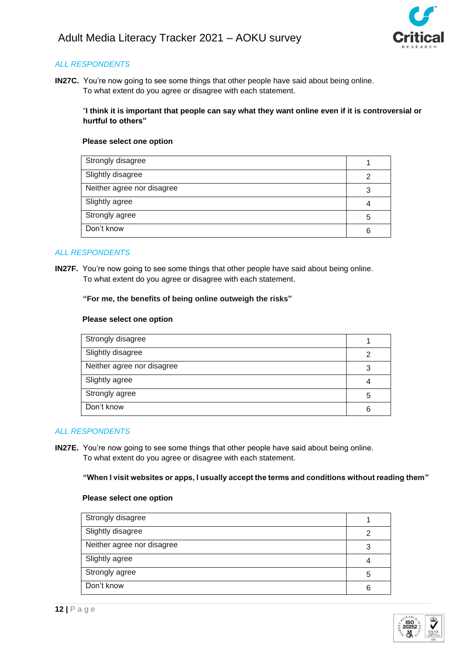

**IN27C.** You're now going to see some things that other people have said about being online. To what extent do you agree or disagree with each statement.

"**I think it is important that people can say what they want online even if it is controversial or hurtful to others"**

#### **Please select one option**

| Strongly disagree          |   |
|----------------------------|---|
| Slightly disagree          | ◠ |
| Neither agree nor disagree | 3 |
| Slightly agree             |   |
| Strongly agree             | 5 |
| Don't know                 | հ |

### *ALL RESPONDENTS*

**IN27F.** You're now going to see some things that other people have said about being online. To what extent do you agree or disagree with each statement.

**"For me, the benefits of being online outweigh the risks"**

#### **Please select one option**

| Strongly disagree          |   |
|----------------------------|---|
| Slightly disagree          | っ |
| Neither agree nor disagree | 3 |
| Slightly agree             |   |
| Strongly agree             | 5 |
| Don't know                 | 6 |

#### *ALL RESPONDENTS*

**IN27E.** You're now going to see some things that other people have said about being online. To what extent do you agree or disagree with each statement.

**"When I visit websites or apps, I usually accept the terms and conditions without reading them"**

| Strongly disagree          |   |
|----------------------------|---|
| Slightly disagree          |   |
| Neither agree nor disagree | 3 |
| Slightly agree             |   |
| Strongly agree             | 5 |
| Don't know                 | 6 |

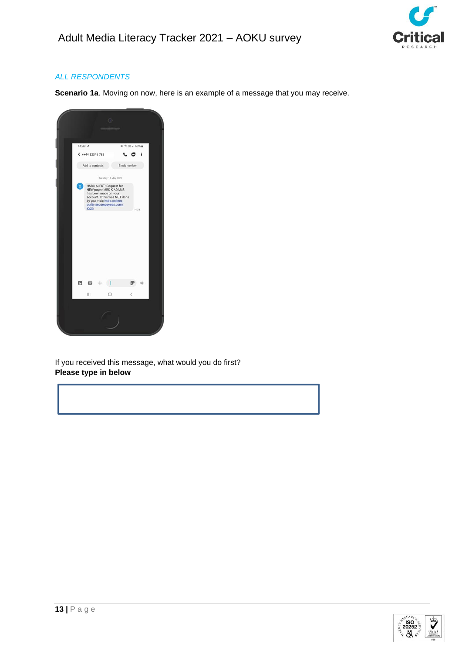

**Scenario 1a**. Moving on now, here is an example of a message that you may receive.



If you received this message, what would you do first? **Please type in below**

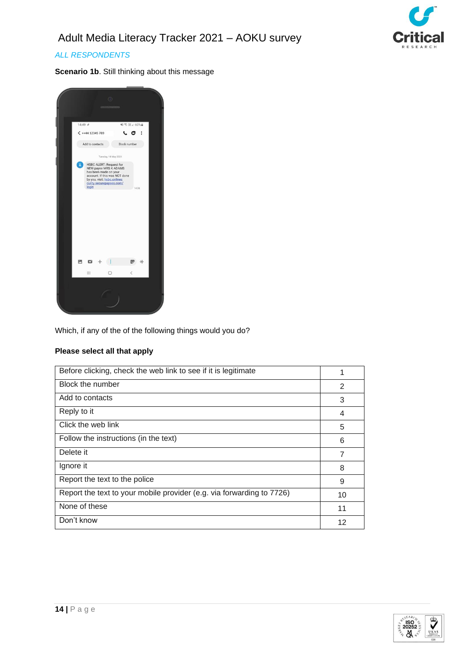

**Scenario 1b**. Still thinking about this message



Which, if any of the of the following things would you do?

### **Please select all that apply**

| Before clicking, check the web link to see if it is legitimate        | 1  |
|-----------------------------------------------------------------------|----|
| Block the number                                                      | 2  |
| Add to contacts                                                       | 3  |
| Reply to it                                                           | 4  |
| Click the web link                                                    | 5  |
| Follow the instructions (in the text)                                 | 6  |
| Delete it                                                             | 7  |
| Ignore it                                                             | 8  |
| Report the text to the police                                         | 9  |
| Report the text to your mobile provider (e.g. via forwarding to 7726) | 10 |
| None of these                                                         | 11 |
| Don't know                                                            | 12 |

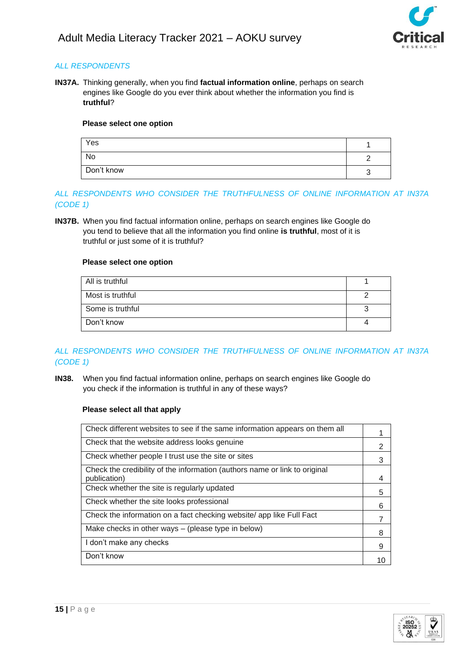

**IN37A.** Thinking generally, when you find **factual information online**, perhaps on search engines like Google do you ever think about whether the information you find is **truthful**?

### **Please select one option**

| Yes        |  |
|------------|--|
| No         |  |
| Don't know |  |

### *ALL RESPONDENTS WHO CONSIDER THE TRUTHFULNESS OF ONLINE INFORMATION AT IN37A (CODE 1)*

**IN37B.** When you find factual information online, perhaps on search engines like Google do you tend to believe that all the information you find online **is truthful**, most of it is truthful or just some of it is truthful?

### **Please select one option**

| All is truthful  |  |
|------------------|--|
| Most is truthful |  |
| Some is truthful |  |
| Don't know       |  |

# *ALL RESPONDENTS WHO CONSIDER THE TRUTHFULNESS OF ONLINE INFORMATION AT IN37A (CODE 1)*

**IN38.** When you find factual information online, perhaps on search engines like Google do you check if the information is truthful in any of these ways?

#### **Please select all that apply**

| Check different websites to see if the same information appears on them all                |    |
|--------------------------------------------------------------------------------------------|----|
| Check that the website address looks genuine                                               | 2  |
| Check whether people I trust use the site or sites                                         | 3  |
| Check the credibility of the information (authors name or link to original<br>publication) | 4  |
| Check whether the site is regularly updated                                                | 5  |
| Check whether the site looks professional                                                  | 6  |
| Check the information on a fact checking website/ app like Full Fact                       | 7  |
| Make checks in other ways - (please type in below)                                         | 8  |
| I don't make any checks                                                                    | 9  |
| Don't know                                                                                 | 10 |

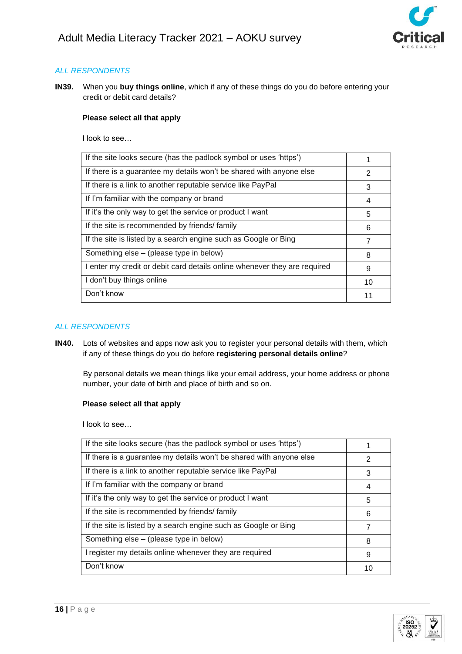

**IN39.** When you **buy things online**, which if any of these things do you do before entering your credit or debit card details?

### **Please select all that apply**

I look to see…

| If the site looks secure (has the padlock symbol or uses 'https')         |    |
|---------------------------------------------------------------------------|----|
| If there is a guarantee my details won't be shared with anyone else       | 2  |
| If there is a link to another reputable service like PayPal               | 3  |
| If I'm familiar with the company or brand                                 | 4  |
| If it's the only way to get the service or product I want                 | 5  |
| If the site is recommended by friends/family                              | 6  |
| If the site is listed by a search engine such as Google or Bing           | 7  |
| Something else – (please type in below)                                   | 8  |
| I enter my credit or debit card details online whenever they are required | 9  |
| I don't buy things online                                                 | 10 |
| Don't know                                                                |    |

#### *ALL RESPONDENTS*

**IN40.** Lots of websites and apps now ask you to register your personal details with them, which if any of these things do you do before **registering personal details online**?

By personal details we mean things like your email address, your home address or phone number, your date of birth and place of birth and so on.

### **Please select all that apply**

I look to see…

| If the site looks secure (has the padlock symbol or uses 'https')   |    |
|---------------------------------------------------------------------|----|
| If there is a guarantee my details won't be shared with anyone else | 2  |
| If there is a link to another reputable service like PayPal         | 3  |
| If I'm familiar with the company or brand                           | 4  |
| If it's the only way to get the service or product I want           | 5  |
| If the site is recommended by friends/family                        | 6  |
| If the site is listed by a search engine such as Google or Bing     | 7  |
| Something else – (please type in below)                             | 8  |
| I register my details online whenever they are required             | 9  |
| Don't know                                                          | 10 |

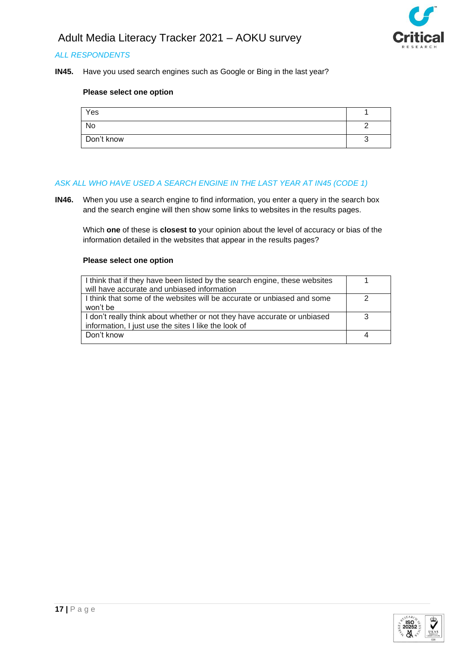

**IN45.** Have you used search engines such as Google or Bing in the last year?

#### **Please select one option**

| Yes        |  |
|------------|--|
| No         |  |
| Don't know |  |

#### *ASK ALL WHO HAVE USED A SEARCH ENGINE IN THE LAST YEAR AT IN45 (CODE 1)*

**IN46.** When you use a search engine to find information, you enter a query in the search box and the search engine will then show some links to websites in the results pages.

Which **one** of these is **closest to** your opinion about the level of accuracy or bias of the information detailed in the websites that appear in the results pages?

| I think that if they have been listed by the search engine, these websites |  |
|----------------------------------------------------------------------------|--|
| will have accurate and unbiased information                                |  |
| I think that some of the websites will be accurate or unbiased and some    |  |
| won't be                                                                   |  |
| I don't really think about whether or not they have accurate or unbiased   |  |
| information, I just use the sites I like the look of                       |  |
| Don't know                                                                 |  |
|                                                                            |  |

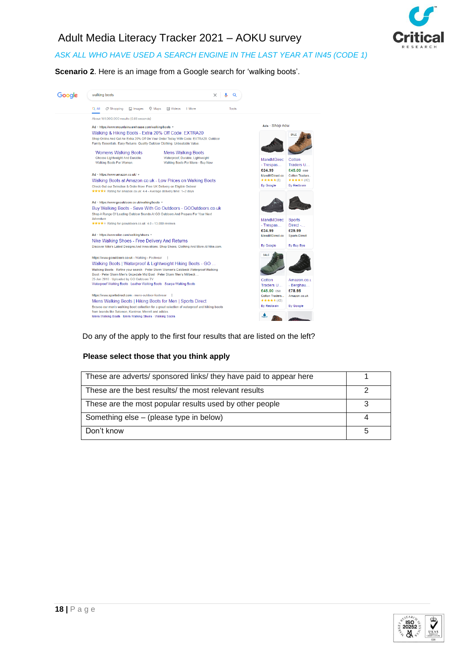

# *ASK ALL WHO HAVE USED A SEARCH ENGINE IN THE LAST YEAR AT IN45 (CODE 1)*

**Scenario 2**. Here is an image from a Google search for 'walking boots'.



#### Do any of the apply to the first four results that are listed on the left?

#### **Please select those that you think apply**

| These are adverts/ sponsored links/ they have paid to appear here |  |
|-------------------------------------------------------------------|--|
| These are the best results/ the most relevant results             |  |
| These are the most popular results used by other people           |  |
| Something else – (please type in below)                           |  |
| Don't know                                                        |  |

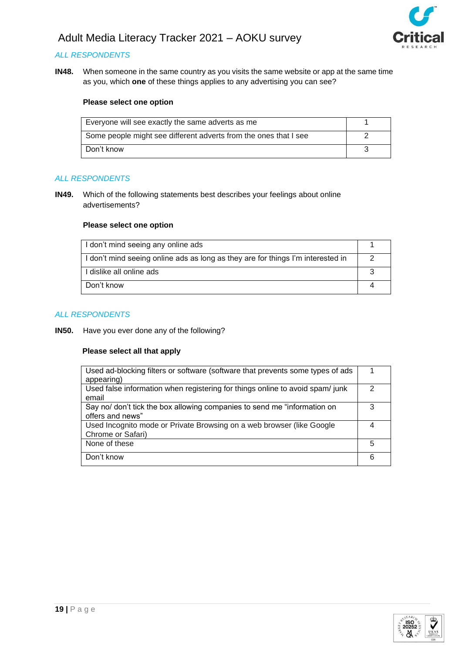

### *ALL RESPONDENTS*

**IN48.** When someone in the same country as you visits the same website or app at the same time as you, which **one** of these things applies to any advertising you can see?

#### **Please select one option**

| Everyone will see exactly the same adverts as me                 |  |
|------------------------------------------------------------------|--|
| Some people might see different adverts from the ones that I see |  |
| Don't know                                                       |  |

#### *ALL RESPONDENTS*

**IN49.** Which of the following statements best describes your feelings about online advertisements?

#### **Please select one option**

| I don't mind seeing any online ads                                              |  |
|---------------------------------------------------------------------------------|--|
| I don't mind seeing online ads as long as they are for things I'm interested in |  |
| I dislike all online ads                                                        |  |
| Don't know                                                                      |  |

#### *ALL RESPONDENTS*

**IN50.** Have you ever done any of the following?

#### **Please select all that apply**

| Used ad-blocking filters or software (software that prevents some types of ads<br>appearing) |   |
|----------------------------------------------------------------------------------------------|---|
| Used false information when registering for things online to avoid spam/junk<br>email        | 2 |
| Say no/ don't tick the box allowing companies to send me "information on<br>offers and news" | 3 |
| Used Incognito mode or Private Browsing on a web browser (like Google<br>Chrome or Safari)   |   |
| None of these                                                                                | 5 |
| Don't know                                                                                   | 6 |

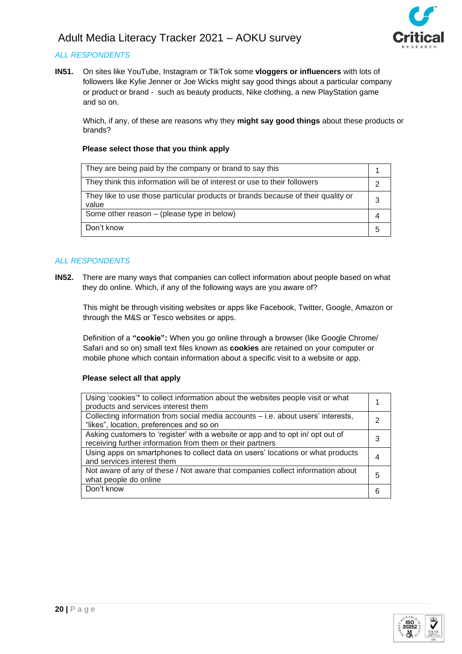

### *ALL RESPONDENTS*

**IN51.** On sites like YouTube, Instagram or TikTok some **vloggers or influencers** with lots of followers like Kylie Jenner or Joe Wicks might say good things about a particular company or product or brand - such as beauty products, Nike clothing, a new PlayStation game and so on.

Which, if any, of these are reasons why they **might say good things** about these products or brands?

### **Please select those that you think apply**

| They are being paid by the company or brand to say this                                   |  |
|-------------------------------------------------------------------------------------------|--|
| They think this information will be of interest or use to their followers                 |  |
| They like to use those particular products or brands because of their quality or<br>value |  |
| Some other reason – (please type in below)                                                |  |
| Don't know                                                                                |  |

#### *ALL RESPONDENTS*

**IN52.** There are many ways that companies can collect information about people based on what they do online. Which, if any of the following ways are you aware of?

This might be through visiting websites or apps like Facebook, Twitter, Google, Amazon or through the M&S or Tesco websites or apps.

Definition of a **"cookie":** When you go online through a browser (like Google Chrome/ Safari and so on) small text files known as **cookies** are retained on your computer or mobile phone which contain information about a specific visit to a website or app.

#### **Please select all that apply**

| Using 'cookies'* to collect information about the websites people visit or what<br>products and services interest them                      |   |
|---------------------------------------------------------------------------------------------------------------------------------------------|---|
| Collecting information from social media accounts – i.e. about users' interests,<br>"likes", location, preferences and so on                |   |
| Asking customers to 'register' with a website or app and to opt in/ opt out of<br>receiving further information from them or their partners | 3 |
| Using apps on smartphones to collect data on users' locations or what products<br>and services interest them                                |   |
| Not aware of any of these / Not aware that companies collect information about<br>what people do online                                     | 5 |
| Don't know                                                                                                                                  |   |

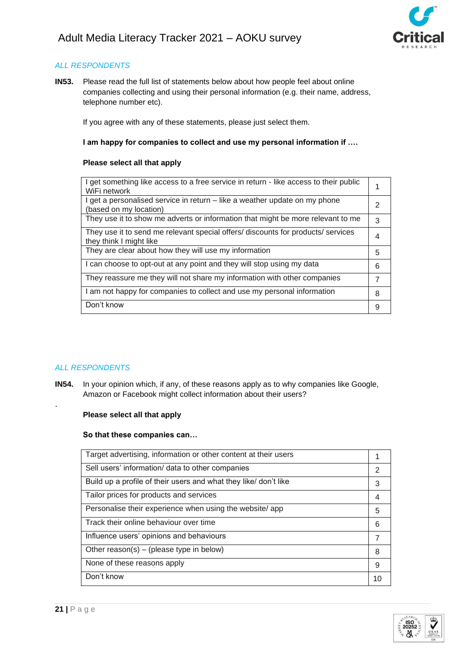

**IN53.** Please read the full list of statements below about how people feel about online companies collecting and using their personal information (e.g. their name, address, telephone number etc).

If you agree with any of these statements, please just select them.

#### **I am happy for companies to collect and use my personal information if ….**

#### **Please select all that apply**

| I get something like access to a free service in return - like access to their public<br>WiFi network       |                |
|-------------------------------------------------------------------------------------------------------------|----------------|
| I get a personalised service in return – like a weather update on my phone<br>(based on my location)        | 2              |
| They use it to show me adverts or information that might be more relevant to me                             | 3              |
| They use it to send me relevant special offers/ discounts for products/ services<br>they think I might like | 4              |
| They are clear about how they will use my information                                                       | 5              |
| I can choose to opt-out at any point and they will stop using my data                                       | 6              |
| They reassure me they will not share my information with other companies                                    | $\overline{7}$ |
| I am not happy for companies to collect and use my personal information                                     | 8              |
| Don't know                                                                                                  | 9              |

### *ALL RESPONDENTS*

.

**IN54.** In your opinion which, if any, of these reasons apply as to why companies like Google, Amazon or Facebook might collect information about their users?

#### **Please select all that apply**

### **So that these companies can…**

| Target advertising, information or other content at their users  |    |
|------------------------------------------------------------------|----|
| Sell users' information/ data to other companies                 | 2  |
| Build up a profile of their users and what they like/ don't like | 3  |
| Tailor prices for products and services                          | 4  |
| Personalise their experience when using the website/app          | 5  |
| Track their online behaviour over time                           | 6  |
| Influence users' opinions and behaviours                         | 7  |
| Other reason(s) – (please type in below)                         | 8  |
| None of these reasons apply                                      | 9  |
| Don't know                                                       | 10 |

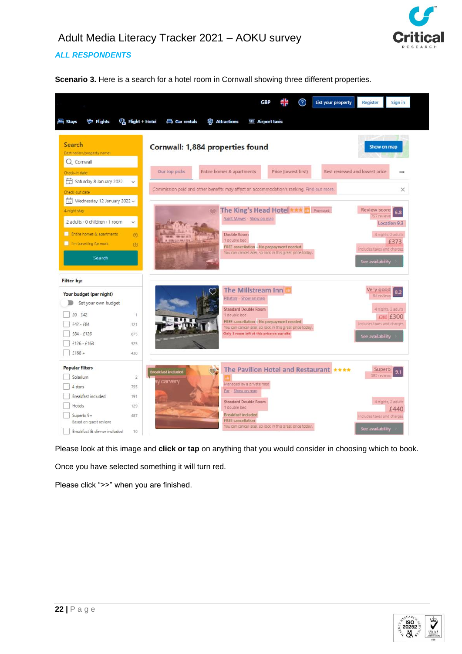

## *ALL RESPONDENTS*

**Scenario 3.** Here is a search for a hotel room in Cornwall showing three different properties.



Please look at this image and **click or tap** on anything that you would consider in choosing which to book.

Once you have selected something it will turn red.

Please click ">>" when you are finished.

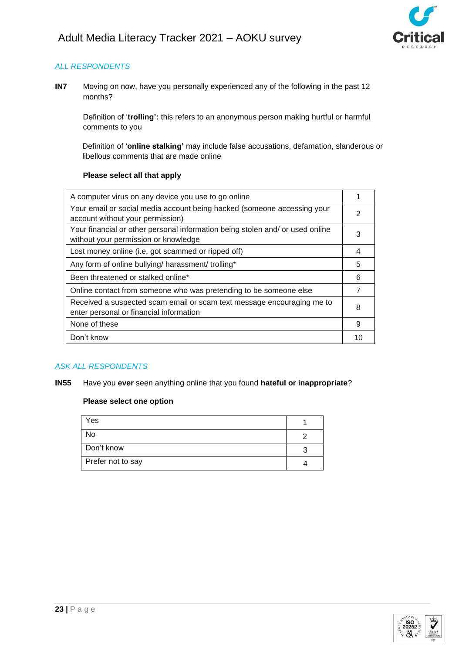

**IN7** Moving on now, have you personally experienced any of the following in the past 12 months?

Definition of '**trolling':** this refers to an anonymous person making hurtful or harmful comments to you

Definition of '**online stalking'** may include false accusations, defamation, slanderous or libellous comments that are made online

### **Please select all that apply**

| A computer virus on any device you use to go online                                                                   |   |
|-----------------------------------------------------------------------------------------------------------------------|---|
| Your email or social media account being hacked (someone accessing your<br>account without your permission)           | 2 |
| Your financial or other personal information being stolen and/ or used online<br>without your permission or knowledge | 3 |
| Lost money online (i.e. got scammed or ripped off)                                                                    | 4 |
| Any form of online bullying/ harassment/ trolling*                                                                    | 5 |
| Been threatened or stalked online*                                                                                    | 6 |
| Online contact from someone who was pretending to be someone else                                                     |   |
| Received a suspected scam email or scam text message encouraging me to<br>enter personal or financial information     | 8 |
| None of these                                                                                                         | 9 |
| Don't know                                                                                                            |   |

# *ASK ALL RESPONDENTS*

**IN55** Have you **ever** seen anything online that you found **hateful or inappropriate**?

| Yes               |  |
|-------------------|--|
| No                |  |
| Don't know        |  |
| Prefer not to say |  |

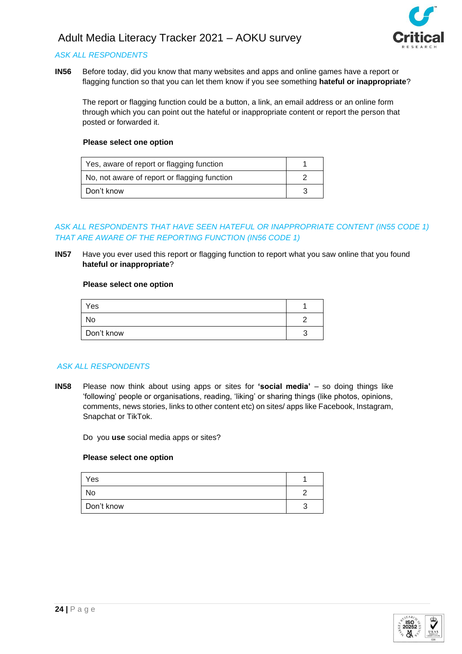

### *ASK ALL RESPONDENTS*

**IN56** Before today, did you know that many websites and apps and online games have a report or flagging function so that you can let them know if you see something **hateful or inappropriate**?

The report or flagging function could be a button, a link, an email address or an online form through which you can point out the hateful or inappropriate content or report the person that posted or forwarded it.

#### **Please select one option**

| Yes, aware of report or flagging function    |  |
|----------------------------------------------|--|
| No, not aware of report or flagging function |  |
| Don't know                                   |  |

### *ASK ALL RESPONDENTS THAT HAVE SEEN HATEFUL OR INAPPROPRIATE CONTENT (IN55 CODE 1) THAT ARE AWARE OF THE REPORTING FUNCTION (IN56 CODE 1)*

**IN57** Have you ever used this report or flagging function to report what you saw online that you found **hateful or inappropriate**?

#### **Please select one option**

| Yes        |   |
|------------|---|
| No         | c |
| Don't know |   |

### *ASK ALL RESPONDENTS*

**IN58** Please now think about using apps or sites for **'social media'** – so doing things like 'following' people or organisations, reading, 'liking' or sharing things (like photos, opinions, comments, news stories, links to other content etc) on sites/ apps like Facebook, Instagram, Snapchat or TikTok.

Do you **use** social media apps or sites?

| Yes        |  |
|------------|--|
| No         |  |
| Don't know |  |

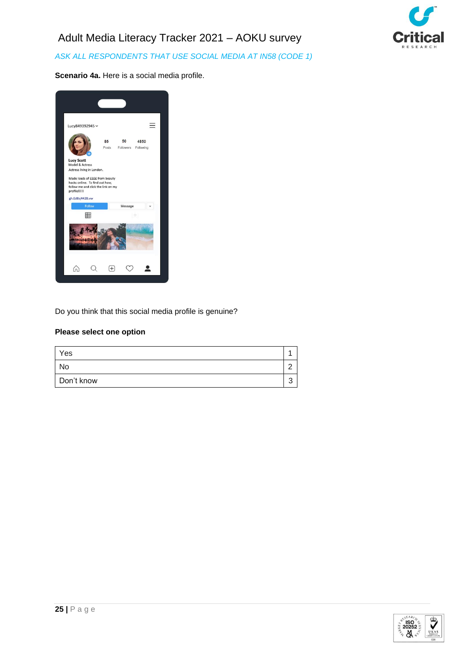*ASK ALL RESPONDENTS THAT USE SOCIAL MEDIA AT IN58 (CODE 1)*



**Scenario 4a.** Here is a social media profile.

| Lucy849392945 v                                                                                                        |             |                 |                   |
|------------------------------------------------------------------------------------------------------------------------|-------------|-----------------|-------------------|
|                                                                                                                        | 85<br>Posts | 50<br>Followers | 4850<br>Following |
| <b>Lucy Scott</b><br>Model & Actress<br>Actress living in London.                                                      |             |                 |                   |
| Made loads of EEEE from beauty<br>hacks online. To find out how.<br>follow me and click the link on my<br>profile!!!!! |             |                 |                   |
| gh.Ed8sj442B.vw<br>Follow                                                                                              |             | Message         |                   |
| 囲                                                                                                                      |             | $\circ$         |                   |
|                                                                                                                        |             |                 |                   |
|                                                                                                                        |             |                 |                   |

Do you think that this social media profile is genuine?

| Yes        |  |
|------------|--|
| No         |  |
| Don't know |  |

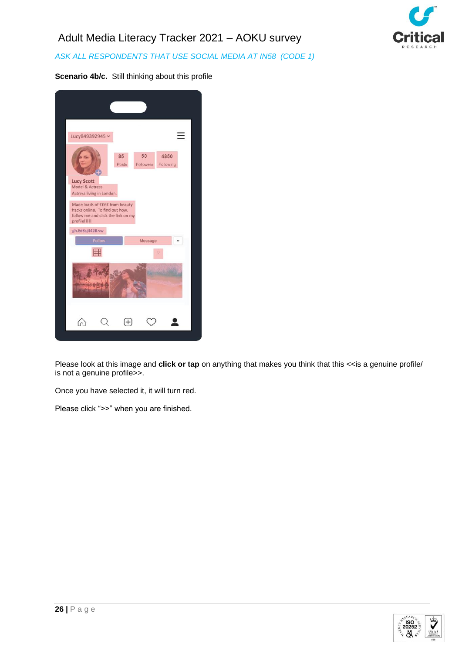*ASK ALL RESPONDENTS THAT USE SOCIAL MEDIA AT IN58 (CODE 1)*



**Scenario 4b/c.** Still thinking about this profile

| Lucy849392945 v                                                                                                   |             |                 |                   |  |
|-------------------------------------------------------------------------------------------------------------------|-------------|-----------------|-------------------|--|
|                                                                                                                   | 85<br>Posts | 50<br>Followers | 4850<br>Following |  |
| <b>Lucy Scott</b><br>Model & Actress<br>Actress living in London.                                                 |             |                 |                   |  |
| Made loads of EEEE from beauty<br>hacks online. To find out how,<br>follow me and click the link on my<br>profile |             |                 |                   |  |
| gh.Ed8sj442B.vw                                                                                                   |             |                 |                   |  |
| Follow                                                                                                            |             | Message         |                   |  |
| 用                                                                                                                 |             |                 |                   |  |
|                                                                                                                   |             |                 |                   |  |
|                                                                                                                   |             |                 |                   |  |

Please look at this image and **click or tap** on anything that makes you think that this << is a genuine profile/ is not a genuine profile>>.

Once you have selected it, it will turn red.

Please click ">>" when you are finished.

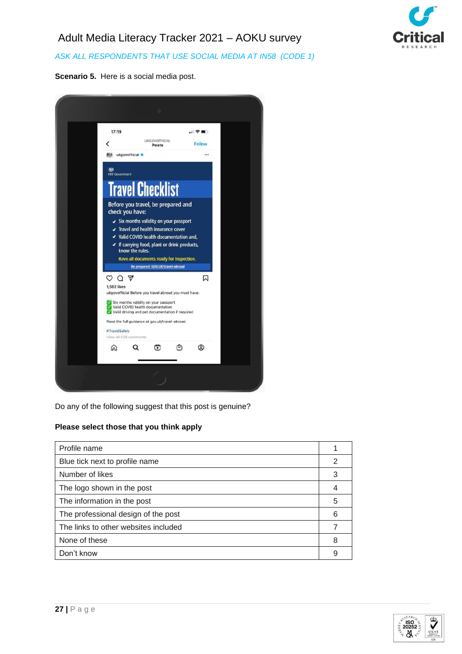

*ASK ALL RESPONDENTS THAT USE SOCIAL MEDIA AT IN58 (CODE 1)*





Do any of the following suggest that this post is genuine?

### **Please select those that you think apply**

| Profile name                         |   |
|--------------------------------------|---|
| Blue tick next to profile name       | 2 |
| Number of likes                      | 3 |
| The logo shown in the post           | 4 |
| The information in the post          | 5 |
| The professional design of the post  | 6 |
| The links to other websites included |   |
| None of these                        | 8 |
| Don't know                           | 9 |

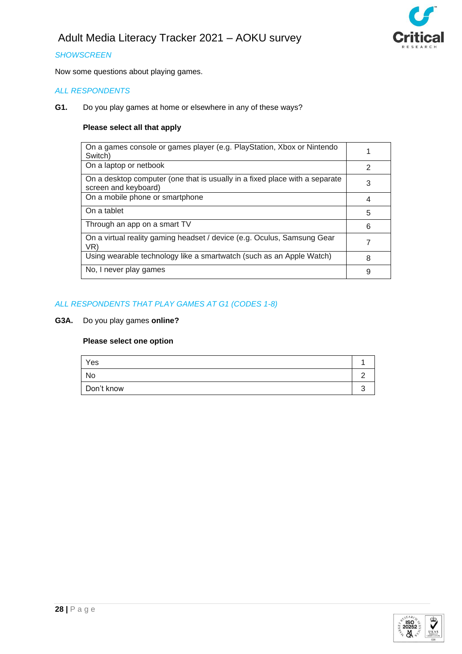

### *SHOWSCREEN*

Now some questions about playing games.

### *ALL RESPONDENTS*

**G1.** Do you play games at home or elsewhere in any of these ways?

### **Please select all that apply**

| On a games console or games player (e.g. PlayStation, Xbox or Nintendo<br>Switch)                   |               |
|-----------------------------------------------------------------------------------------------------|---------------|
| On a laptop or netbook                                                                              | $\mathcal{P}$ |
| On a desktop computer (one that is usually in a fixed place with a separate<br>screen and keyboard) | 3             |
| On a mobile phone or smartphone                                                                     | 4             |
| On a tablet                                                                                         | 5             |
| Through an app on a smart TV                                                                        | 6             |
| On a virtual reality gaming headset / device (e.g. Oculus, Samsung Gear<br>VR)                      |               |
| Using wearable technology like a smartwatch (such as an Apple Watch)                                | 8             |
| No, I never play games                                                                              | 9             |
|                                                                                                     |               |

### *ALL RESPONDENTS THAT PLAY GAMES AT G1 (CODES 1-8)*

**G3A.** Do you play games **online?**

| Yes        |  |
|------------|--|
| No         |  |
| Don't know |  |

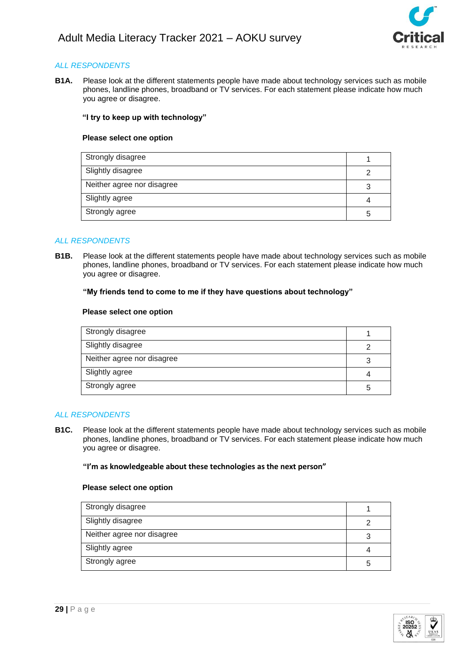

**B1A.** Please look at the different statements people have made about technology services such as mobile phones, landline phones, broadband or TV services. For each statement please indicate how much you agree or disagree.

### **"I try to keep up with technology"**

#### **Please select one option**

| Strongly disagree          |  |
|----------------------------|--|
| Slightly disagree          |  |
| Neither agree nor disagree |  |
| Slightly agree             |  |
| Strongly agree             |  |

### *ALL RESPONDENTS*

**B1B.** Please look at the different statements people have made about technology services such as mobile phones, landline phones, broadband or TV services. For each statement please indicate how much you agree or disagree.

#### **"My friends tend to come to me if they have questions about technology"**

#### **Please select one option**

| Strongly disagree          |   |
|----------------------------|---|
| Slightly disagree          | າ |
| Neither agree nor disagree | 3 |
| Slightly agree             | 4 |
| Strongly agree             | 5 |

#### *ALL RESPONDENTS*

**B1C.** Please look at the different statements people have made about technology services such as mobile phones, landline phones, broadband or TV services. For each statement please indicate how much you agree or disagree.

#### **"I'm as knowledgeable about these technologies as the next person"**

| Strongly disagree          |   |
|----------------------------|---|
| Slightly disagree          |   |
| Neither agree nor disagree |   |
| Slightly agree             |   |
| Strongly agree             | 5 |

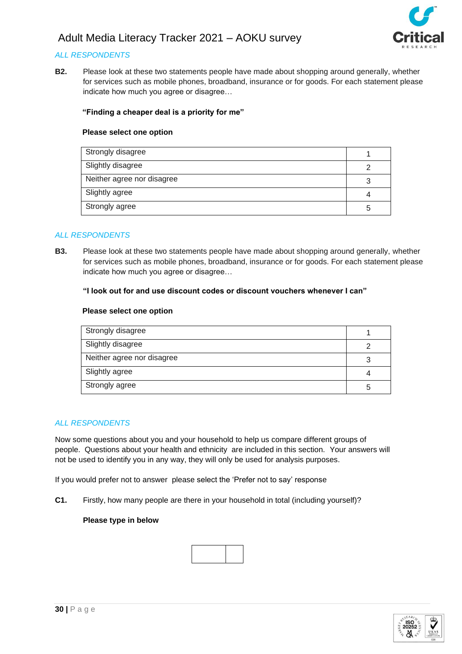

### *ALL RESPONDENTS*

**B2.** Please look at these two statements people have made about shopping around generally, whether for services such as mobile phones, broadband, insurance or for goods. For each statement please indicate how much you agree or disagree…

#### **"Finding a cheaper deal is a priority for me"**

#### **Please select one option**

| Strongly disagree          |    |
|----------------------------|----|
| Slightly disagree          |    |
| Neither agree nor disagree |    |
| Slightly agree             |    |
| Strongly agree             | :C |

#### *ALL RESPONDENTS*

**B3.** Please look at these two statements people have made about shopping around generally, whether for services such as mobile phones, broadband, insurance or for goods. For each statement please indicate how much you agree or disagree…

### **"I look out for and use discount codes or discount vouchers whenever I can"**

#### **Please select one option**

| Strongly disagree          |  |
|----------------------------|--|
| Slightly disagree          |  |
| Neither agree nor disagree |  |
| Slightly agree             |  |
| Strongly agree             |  |

#### *ALL RESPONDENTS*

Now some questions about you and your household to help us compare different groups of people. Questions about your health and ethnicity are included in this section. Your answers will not be used to identify you in any way, they will only be used for analysis purposes.

If you would prefer not to answer please select the 'Prefer not to say' response

**C1.** Firstly, how many people are there in your household in total (including yourself)?

#### **Please type in below**

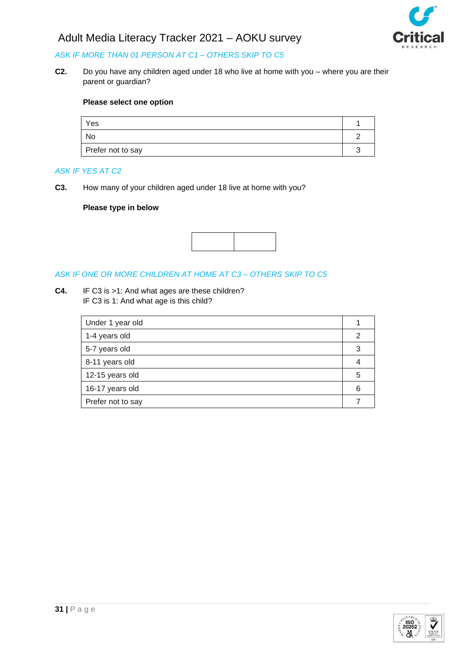

## *ASK IF MORE THAN 01 PERSON AT C1 – OTHERS SKIP TO C5*

**C2.** Do you have any children aged under 18 who live at home with you – where you are their parent or guardian?

#### **Please select one option**

| Yes               |  |
|-------------------|--|
| No                |  |
| Prefer not to say |  |

#### *ASK IF YES AT C2*

**C3.** How many of your children aged under 18 live at home with you?

### **Please type in below**



### *ASK IF ONE OR MORE CHILDREN AT HOME AT C3 – OTHERS SKIP TO C5*

**C4.** IF C3 is >1: And what ages are these children? IF C3 is 1: And what age is this child?

| Under 1 year old  |   |
|-------------------|---|
| 1-4 years old     |   |
| 5-7 years old     |   |
| 8-11 years old    |   |
| 12-15 years old   | 5 |
| 16-17 years old   | 6 |
| Prefer not to say |   |

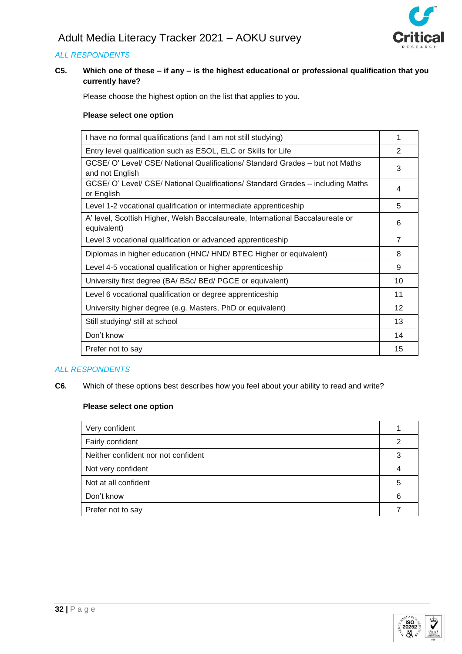### **C5. Which one of these – if any – is the highest educational or professional qualification that you currently have?**

Please choose the highest option on the list that applies to you.

### **Please select one option**

| I have no formal qualifications (and I am not still studying)                                    | 1              |
|--------------------------------------------------------------------------------------------------|----------------|
| Entry level qualification such as ESOL, ELC or Skills for Life                                   |                |
| GCSE/ O' Level/ CSE/ National Qualifications/ Standard Grades - but not Maths<br>and not English | 3              |
| GCSE/ O' Level/ CSE/ National Qualifications/ Standard Grades - including Maths<br>or English    | 4              |
| Level 1-2 vocational qualification or intermediate apprenticeship                                | 5              |
| A' level, Scottish Higher, Welsh Baccalaureate, International Baccalaureate or<br>equivalent)    | 6              |
| Level 3 vocational qualification or advanced apprenticeship                                      | $\overline{7}$ |
| Diplomas in higher education (HNC/HND/BTEC Higher or equivalent)                                 | 8              |
| Level 4-5 vocational qualification or higher apprenticeship                                      | 9              |
| University first degree (BA/ BSc/ BEd/ PGCE or equivalent)                                       | 10             |
| Level 6 vocational qualification or degree apprenticeship                                        | 11             |
| University higher degree (e.g. Masters, PhD or equivalent)                                       |                |
| Still studying/ still at school                                                                  | 13             |
| Don't know                                                                                       | 14             |
| Prefer not to say                                                                                | 15             |

### *ALL RESPONDENTS*

**C6.** Which of these options best describes how you feel about your ability to read and write?

| Very confident                      |   |
|-------------------------------------|---|
| Fairly confident                    | 2 |
| Neither confident nor not confident | 3 |
| Not very confident                  |   |
| Not at all confident                | 5 |
| Don't know                          |   |
| Prefer not to say                   |   |

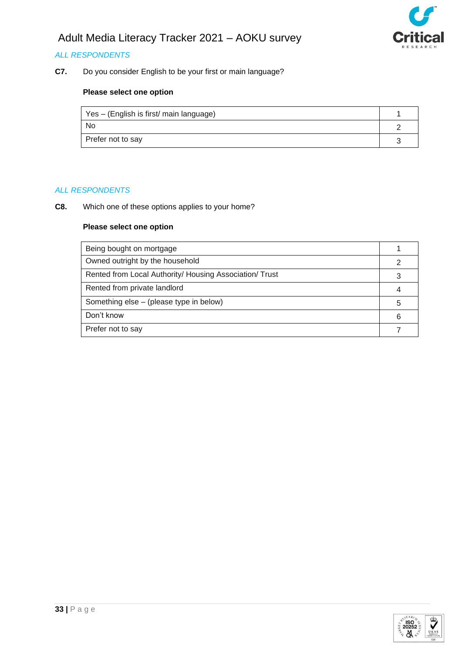

# *ALL RESPONDENTS*

**C7.** Do you consider English to be your first or main language?

# **Please select one option**

| Yes – (English is first/ main language) |  |
|-----------------------------------------|--|
| <b>No</b>                               |  |
| Prefer not to say                       |  |

#### *ALL RESPONDENTS*

**C8.** Which one of these options applies to your home?

| Being bought on mortgage                                |   |
|---------------------------------------------------------|---|
| Owned outright by the household                         |   |
| Rented from Local Authority/ Housing Association/ Trust |   |
| Rented from private landlord                            |   |
| Something else – (please type in below)                 | 5 |
| Don't know                                              |   |
| Prefer not to say                                       |   |

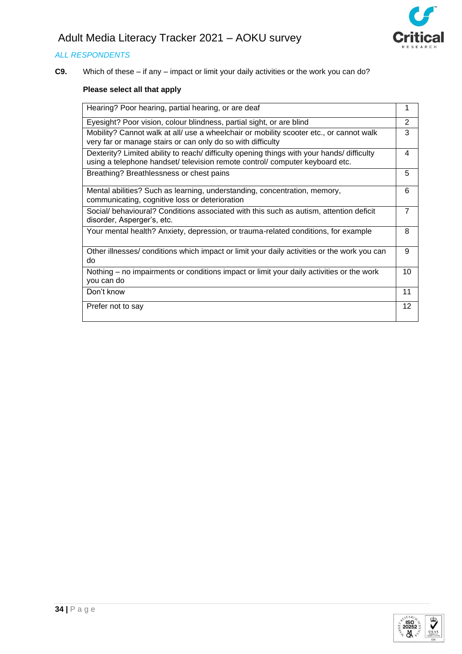

# *ALL RESPONDENTS*

**C9.** Which of these – if any – impact or limit your daily activities or the work you can do?

# **Please select all that apply**

| Hearing? Poor hearing, partial hearing, or are deaf                                                                                                                        | 1              |
|----------------------------------------------------------------------------------------------------------------------------------------------------------------------------|----------------|
| Eyesight? Poor vision, colour blindness, partial sight, or are blind                                                                                                       | $\mathbf{2}$   |
| Mobility? Cannot walk at all/ use a wheelchair or mobility scooter etc., or cannot walk<br>very far or manage stairs or can only do so with difficulty                     | 3              |
| Dexterity? Limited ability to reach/ difficulty opening things with your hands/ difficulty<br>using a telephone handset/ television remote control/ computer keyboard etc. | 4              |
| Breathing? Breathlessness or chest pains                                                                                                                                   | 5              |
| Mental abilities? Such as learning, understanding, concentration, memory,<br>communicating, cognitive loss or deterioration                                                | 6              |
| Social/ behavioural? Conditions associated with this such as autism, attention deficit<br>disorder, Asperger's, etc.                                                       | $\overline{7}$ |
| Your mental health? Anxiety, depression, or trauma-related conditions, for example                                                                                         | 8              |
| Other illnesses/ conditions which impact or limit your daily activities or the work you can<br>do                                                                          | 9              |
| Nothing – no impairments or conditions impact or limit your daily activities or the work<br>you can do                                                                     | 10             |
| Don't know                                                                                                                                                                 | 11             |
| Prefer not to say                                                                                                                                                          | 12             |

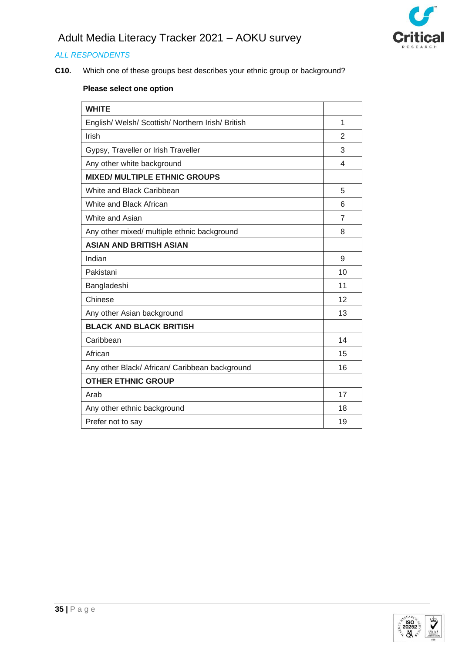

# *ALL RESPONDENTS*

**C10.** Which one of these groups best describes your ethnic group or background?

| <b>WHITE</b>                                      |                |
|---------------------------------------------------|----------------|
| English/ Welsh/ Scottish/ Northern Irish/ British | 1              |
| Irish                                             | $\overline{2}$ |
| Gypsy, Traveller or Irish Traveller               | 3              |
| Any other white background                        | 4              |
| <b>MIXED/ MULTIPLE ETHNIC GROUPS</b>              |                |
| White and Black Caribbean                         | 5              |
| White and Black African                           | 6              |
| White and Asian                                   | $\overline{7}$ |
| Any other mixed/ multiple ethnic background       | 8              |
| <b>ASIAN AND BRITISH ASIAN</b>                    |                |
| Indian                                            | 9              |
| Pakistani                                         | 10             |
| Bangladeshi                                       | 11             |
| Chinese                                           | 12             |
| Any other Asian background                        | 13             |
| <b>BLACK AND BLACK BRITISH</b>                    |                |
| Caribbean                                         | 14             |
| African                                           | 15             |
| Any other Black/ African/ Caribbean background    | 16             |
| <b>OTHER ETHNIC GROUP</b>                         |                |
| Arab                                              | 17             |
| Any other ethnic background                       | 18             |
| Prefer not to say                                 | 19             |